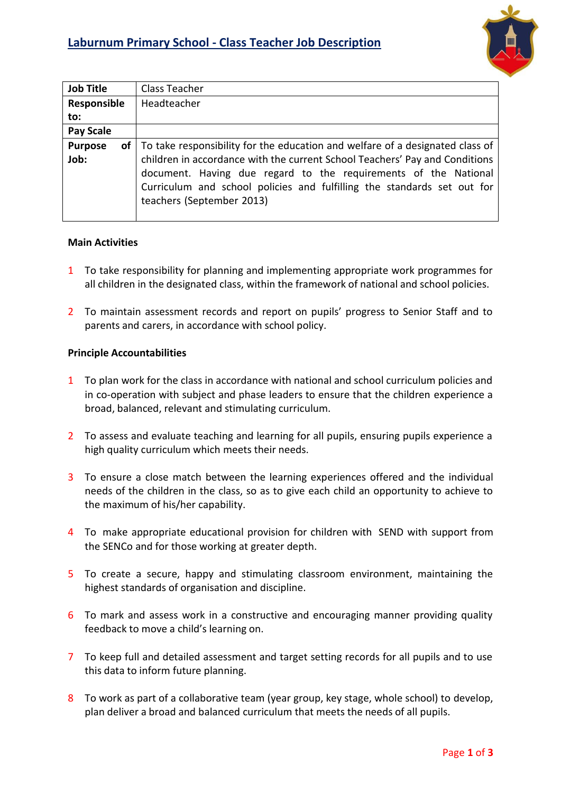

| <b>Job Title</b>       | Class Teacher                                                                                                                                                                                                                                          |
|------------------------|--------------------------------------------------------------------------------------------------------------------------------------------------------------------------------------------------------------------------------------------------------|
| Responsible            | Headteacher                                                                                                                                                                                                                                            |
| to:                    |                                                                                                                                                                                                                                                        |
| <b>Pay Scale</b>       |                                                                                                                                                                                                                                                        |
| <b>Purpose</b><br>of l | To take responsibility for the education and welfare of a designated class of                                                                                                                                                                          |
| Job:                   | children in accordance with the current School Teachers' Pay and Conditions<br>document. Having due regard to the requirements of the National<br>Curriculum and school policies and fulfilling the standards set out for<br>teachers (September 2013) |

## **Main Activities**

- 1 To take responsibility for planning and implementing appropriate work programmes for all children in the designated class, within the framework of national and school policies.
- 2 To maintain assessment records and report on pupils' progress to Senior Staff and to parents and carers, in accordance with school policy.

## **Principle Accountabilities**

- 1 To plan work for the class in accordance with national and school curriculum policies and in co-operation with subject and phase leaders to ensure that the children experience a broad, balanced, relevant and stimulating curriculum.
- 2 To assess and evaluate teaching and learning for all pupils, ensuring pupils experience a high quality curriculum which meets their needs.
- 3 To ensure a close match between the learning experiences offered and the individual needs of the children in the class, so as to give each child an opportunity to achieve to the maximum of his/her capability.
- 4 To make appropriate educational provision for children with SEND with support from the SENCo and for those working at greater depth.
- 5 To create a secure, happy and stimulating classroom environment, maintaining the highest standards of organisation and discipline.
- 6 To mark and assess work in a constructive and encouraging manner providing quality feedback to move a child's learning on.
- 7 To keep full and detailed assessment and target setting records for all pupils and to use this data to inform future planning.
- 8 To work as part of a collaborative team (year group, key stage, whole school) to develop, plan deliver a broad and balanced curriculum that meets the needs of all pupils.